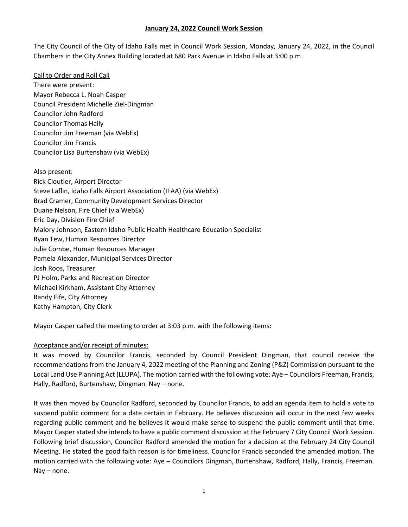The City Council of the City of Idaho Falls met in Council Work Session, Monday, January 24, 2022, in the Council Chambers in the City Annex Building located at 680 Park Avenue in Idaho Falls at 3:00 p.m.

Call to Order and Roll Call There were present: Mayor Rebecca L. Noah Casper Council President Michelle Ziel-Dingman Councilor John Radford Councilor Thomas Hally Councilor Jim Freeman (via WebEx) Councilor Jim Francis Councilor Lisa Burtenshaw (via WebEx)

Also present: Rick Cloutier, Airport Director Steve Laflin, Idaho Falls Airport Association (IFAA) (via WebEx) Brad Cramer, Community Development Services Director Duane Nelson, Fire Chief (via WebEx) Eric Day, Division Fire Chief Malory Johnson, Eastern Idaho Public Health Healthcare Education Specialist Ryan Tew, Human Resources Director Julie Combe, Human Resources Manager Pamela Alexander, Municipal Services Director Josh Roos, Treasurer PJ Holm, Parks and Recreation Director Michael Kirkham, Assistant City Attorney Randy Fife, City Attorney Kathy Hampton, City Clerk

Mayor Casper called the meeting to order at 3:03 p.m. with the following items:

#### Acceptance and/or receipt of minutes:

It was moved by Councilor Francis, seconded by Council President Dingman, that council receive the recommendations from the January 4, 2022 meeting of the Planning and Zoning (P&Z) Commission pursuant to the Local Land Use Planning Act (LLUPA). The motion carried with the following vote: Aye – Councilors Freeman, Francis, Hally, Radford, Burtenshaw, Dingman. Nay – none.

It was then moved by Councilor Radford, seconded by Councilor Francis, to add an agenda item to hold a vote to suspend public comment for a date certain in February. He believes discussion will occur in the next few weeks regarding public comment and he believes it would make sense to suspend the public comment until that time. Mayor Casper stated she intends to have a public comment discussion at the February 7 City Council Work Session. Following brief discussion, Councilor Radford amended the motion for a decision at the February 24 City Council Meeting. He stated the good faith reason is for timeliness. Councilor Francis seconded the amended motion. The motion carried with the following vote: Aye – Councilors Dingman, Burtenshaw, Radford, Hally, Francis, Freeman. Nay – none.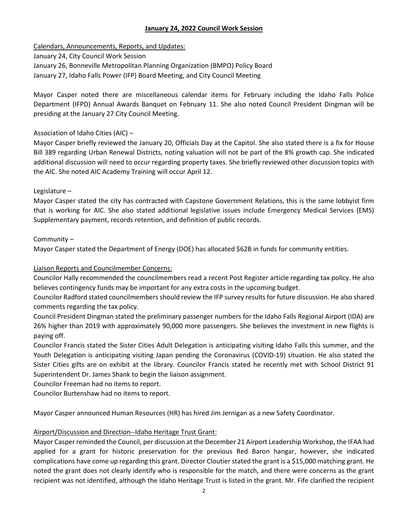Calendars, Announcements, Reports, and Updates:

January 24, City Council Work Session

January 26, Bonneville Metropolitan Planning Organization (BMPO) Policy Board

January 27, Idaho Falls Power (IFP) Board Meeting, and City Council Meeting

Mayor Casper noted there are miscellaneous calendar items for February including the Idaho Falls Police Department (IFPD) Annual Awards Banquet on February 11. She also noted Council President Dingman will be presiding at the January 27 City Council Meeting.

## Association of Idaho Cities (AIC) –

Mayor Casper briefly reviewed the January 20, Officials Day at the Capitol. She also stated there is a fix for House Bill 389 regarding Urban Renewal Districts, noting valuation will not be part of the 8% growth cap. She indicated additional discussion will need to occur regarding property taxes. She briefly reviewed other discussion topics with the AIC. She noted AIC Academy Training will occur April 12.

## Legislature –

Mayor Casper stated the city has contracted with Capstone Government Relations, this is the same lobbyist firm that is working for AIC. She also stated additional legislative issues include Emergency Medical Services (EMS) Supplementary payment, records retention, and definition of public records.

## Community –

Mayor Casper stated the Department of Energy (DOE) has allocated \$62B in funds for community entities.

## Liaison Reports and Councilmember Concerns:

Councilor Hally recommended the councilmembers read a recent Post Register article regarding tax policy. He also believes contingency funds may be important for any extra costs in the upcoming budget.

Councilor Radford stated councilmembers should review the IFP survey results for future discussion. He also shared comments regarding the tax policy.

Council President Dingman stated the preliminary passenger numbers for the Idaho Falls Regional Airport (IDA) are 26% higher than 2019 with approximately 90,000 more passengers. She believes the investment in new flights is paying off.

Councilor Francis stated the Sister Cities Adult Delegation is anticipating visiting Idaho Falls this summer, and the Youth Delegation is anticipating visiting Japan pending the Coronavirus (COVID-19) situation. He also stated the Sister Cities gifts are on exhibit at the library. Councilor Francis stated he recently met with School District 91 Superintendent Dr. James Shank to begin the liaison assignment.

Councilor Freeman had no items to report.

Councilor Burtenshaw had no items to report.

Mayor Casper announced Human Resources (HR) has hired Jim Jernigan as a new Safety Coordinator.

## Airport/Discussion and Direction--Idaho Heritage Trust Grant:

Mayor Casper reminded the Council, per discussion at the December 21 Airport Leadership Workshop, the IFAA had applied for a grant for historic preservation for the previous Red Baron hangar, however, she indicated complications have come up regarding this grant. Director Cloutier stated the grant is a \$15,000 matching grant. He noted the grant does not clearly identify who is responsible for the match, and there were concerns as the grant recipient was not identified, although the Idaho Heritage Trust is listed in the grant. Mr. Fife clarified the recipient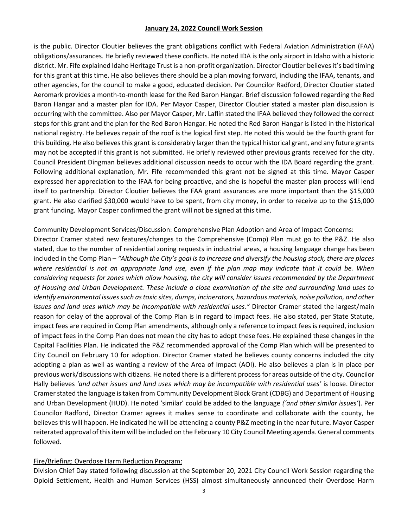is the public. Director Cloutier believes the grant obligations conflict with Federal Aviation Administration (FAA) obligations/assurances. He briefly reviewed these conflicts. He noted IDA is the only airport in Idaho with a historic district. Mr. Fife explained Idaho Heritage Trust is a non-profit organization. Director Cloutier believes it's bad timing for this grant at this time. He also believes there should be a plan moving forward, including the IFAA, tenants, and other agencies, for the council to make a good, educated decision. Per Councilor Radford, Director Cloutier stated Aeromark provides a month-to-month lease for the Red Baron Hangar. Brief discussion followed regarding the Red Baron Hangar and a master plan for IDA. Per Mayor Casper, Director Cloutier stated a master plan discussion is occurring with the committee. Also per Mayor Casper, Mr. Laflin stated the IFAA believed they followed the correct steps for this grant and the plan for the Red Baron Hangar. He noted the Red Baron Hangar is listed in the historical national registry. He believes repair of the roof is the logical first step. He noted this would be the fourth grant for this building. He also believes this grant is considerably larger than the typical historical grant, and any future grants may not be accepted if this grant is not submitted. He briefly reviewed other previous grants received for the city. Council President Dingman believes additional discussion needs to occur with the IDA Board regarding the grant. Following additional explanation, Mr. Fife recommended this grant not be signed at this time. Mayor Casper expressed her appreciation to the IFAA for being proactive, and she is hopeful the master plan process will lend itself to partnership. Director Cloutier believes the FAA grant assurances are more important than the \$15,000 grant. He also clarified \$30,000 would have to be spent, from city money, in order to receive up to the \$15,000 grant funding. Mayor Casper confirmed the grant will not be signed at this time.

#### Community Development Services/Discussion: Comprehensive Plan Adoption and Area of Impact Concerns:

Director Cramer stated new features/changes to the Comprehensive (Comp) Plan must go to the P&Z. He also stated, due to the number of residential zoning requests in industrial areas, a housing language change has been included in the Comp Plan – *"Although the City's goal is to increase and diversify the housing stock, there are places where residential is not an appropriate land use, even if the plan map may indicate that it could be. When considering requests for zones which allow housing, the city will consider issues recommended by the Department of Housing and Urban Development. These include a close examination of the site and surrounding land uses to identify environmental issues such as toxic sites, dumps, incinerators, hazardous materials, noise pollution, and other issues and land uses which may be incompatible with residential uses."* Director Cramer stated the largest/main reason for delay of the approval of the Comp Plan is in regard to impact fees. He also stated, per State Statute, impact fees are required in Comp Plan amendments, although only a reference to impact fees is required, inclusion of impact fees in the Comp Plan does not mean the city has to adopt these fees. He explained these changes in the Capital Facilities Plan. He indicated the P&Z recommended approval of the Comp Plan which will be presented to City Council on February 10 for adoption. Director Cramer stated he believes county concerns included the city adopting a plan as well as wanting a review of the Area of Impact (AOI). He also believes a plan is in place per previous work/discussions with citizens. He noted there is a different process for areas outside of the city. Councilor Hally believes *'and other issues and land uses which may be incompatible with residential uses'* is loose. Director Cramer stated the language is taken from Community Development Block Grant (CDBG) and Department of Housing and Urban Development (HUD). He noted 'similar' could be added to the language *('and other similar issues'*). Per Councilor Radford, Director Cramer agrees it makes sense to coordinate and collaborate with the county, he believes this will happen. He indicated he will be attending a county P&Z meeting in the near future. Mayor Casper reiterated approval of this item will be included on the February 10 City Council Meeting agenda. General comments followed.

#### Fire/Briefing: Overdose Harm Reduction Program:

Division Chief Day stated following discussion at the September 20, 2021 City Council Work Session regarding the Opioid Settlement, Health and Human Services (HSS) almost simultaneously announced their Overdose Harm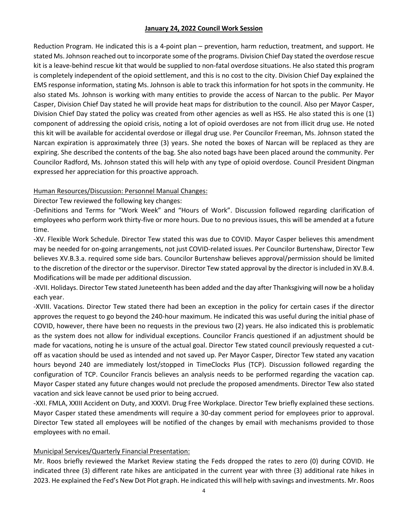Reduction Program. He indicated this is a 4-point plan – prevention, harm reduction, treatment, and support. He stated Ms. Johnson reached out to incorporate some of the programs. Division Chief Day stated the overdose rescue kit is a leave-behind rescue kit that would be supplied to non-fatal overdose situations. He also stated this program is completely independent of the opioid settlement, and this is no cost to the city. Division Chief Day explained the EMS response information, stating Ms. Johnson is able to track this information for hot spots in the community. He also stated Ms. Johnson is working with many entities to provide the access of Narcan to the public. Per Mayor Casper, Division Chief Day stated he will provide heat maps for distribution to the council. Also per Mayor Casper, Division Chief Day stated the policy was created from other agencies as well as HSS. He also stated this is one (1) component of addressing the opioid crisis, noting a lot of opioid overdoses are not from illicit drug use. He noted this kit will be available for accidental overdose or illegal drug use. Per Councilor Freeman, Ms. Johnson stated the Narcan expiration is approximately three (3) years. She noted the boxes of Narcan will be replaced as they are expiring. She described the contents of the bag. She also noted bags have been placed around the community. Per Councilor Radford, Ms. Johnson stated this will help with any type of opioid overdose. Council President Dingman expressed her appreciation for this proactive approach.

### Human Resources/Discussion: Personnel Manual Changes:

Director Tew reviewed the following key changes:

-Definitions and Terms for "Work Week" and "Hours of Work". Discussion followed regarding clarification of employees who perform work thirty-five or more hours. Due to no previous issues, this will be amended at a future time.

-XV. Flexible Work Schedule. Director Tew stated this was due to COVID. Mayor Casper believes this amendment may be needed for on-going arrangements, not just COVID-related issues. Per Councilor Burtenshaw, Director Tew believes XV.B.3.a. required some side bars. Councilor Burtenshaw believes approval/permission should be limited to the discretion of the director or the supervisor. Director Tew stated approval by the director is included in XV.B.4. Modifications will be made per additional discussion.

-XVII. Holidays. Director Tew stated Juneteenth has been added and the day after Thanksgiving will now be a holiday each year.

-XVIII. Vacations. Director Tew stated there had been an exception in the policy for certain cases if the director approves the request to go beyond the 240-hour maximum. He indicated this was useful during the initial phase of COVID, however, there have been no requests in the previous two (2) years. He also indicated this is problematic as the system does not allow for individual exceptions. Councilor Francis questioned if an adjustment should be made for vacations, noting he is unsure of the actual goal. Director Tew stated council previously requested a cutoff as vacation should be used as intended and not saved up. Per Mayor Casper, Director Tew stated any vacation hours beyond 240 are immediately lost/stopped in TimeClocks Plus (TCP). Discussion followed regarding the configuration of TCP. Councilor Francis believes an analysis needs to be performed regarding the vacation cap. Mayor Casper stated any future changes would not preclude the proposed amendments. Director Tew also stated vacation and sick leave cannot be used prior to being accrued.

-XXI. FMLA, XXIII Accident on Duty, and XXXVI. Drug Free Workplace. Director Tew briefly explained these sections. Mayor Casper stated these amendments will require a 30-day comment period for employees prior to approval. Director Tew stated all employees will be notified of the changes by email with mechanisms provided to those employees with no email.

## Municipal Services/Quarterly Financial Presentation:

Mr. Roos briefly reviewed the Market Review stating the Feds dropped the rates to zero (0) during COVID. He indicated three (3) different rate hikes are anticipated in the current year with three (3) additional rate hikes in 2023. He explained the Fed's New Dot Plot graph. He indicated this will help with savings and investments. Mr. Roos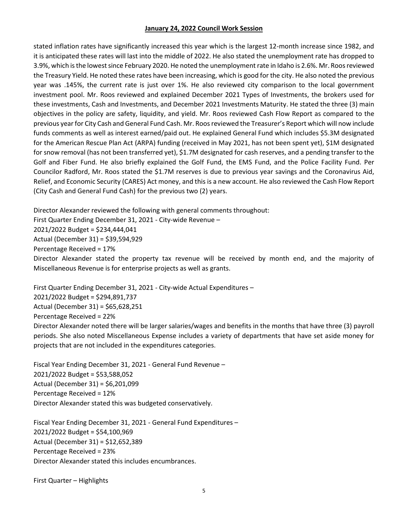stated inflation rates have significantly increased this year which is the largest 12-month increase since 1982, and it is anticipated these rates will last into the middle of 2022. He also stated the unemployment rate has dropped to 3.9%, which is the lowest since February 2020. He noted the unemployment rate in Idaho is 2.6%. Mr. Roos reviewed the Treasury Yield. He noted these rates have been increasing, which is good for the city. He also noted the previous year was .145%, the current rate is just over 1%. He also reviewed city comparison to the local government investment pool. Mr. Roos reviewed and explained December 2021 Types of Investments, the brokers used for these investments, Cash and Investments, and December 2021 Investments Maturity. He stated the three (3) main objectives in the policy are safety, liquidity, and yield. Mr. Roos reviewed Cash Flow Report as compared to the previous year for City Cash and General Fund Cash. Mr. Roos reviewed the Treasurer's Report which will now include funds comments as well as interest earned/paid out. He explained General Fund which includes \$5.3M designated for the American Rescue Plan Act (ARPA) funding (received in May 2021, has not been spent yet), \$1M designated for snow removal (has not been transferred yet), \$1.7M designated for cash reserves, and a pending transfer to the Golf and Fiber Fund. He also briefly explained the Golf Fund, the EMS Fund, and the Police Facility Fund. Per Councilor Radford, Mr. Roos stated the \$1.7M reserves is due to previous year savings and the Coronavirus Aid, Relief, and Economic Security (CARES) Act money, and this is a new account. He also reviewed the Cash Flow Report (City Cash and General Fund Cash) for the previous two (2) years.

Director Alexander reviewed the following with general comments throughout:

First Quarter Ending December 31, 2021 - City-wide Revenue –

2021/2022 Budget = \$234,444,041

Actual (December 31) = \$39,594,929

Percentage Received = 17%

Director Alexander stated the property tax revenue will be received by month end, and the majority of Miscellaneous Revenue is for enterprise projects as well as grants.

First Quarter Ending December 31, 2021 - City-wide Actual Expenditures –

2021/2022 Budget = \$294,891,737

Actual (December 31) = \$65,628,251

Percentage Received = 22%

Director Alexander noted there will be larger salaries/wages and benefits in the months that have three (3) payroll periods. She also noted Miscellaneous Expense includes a variety of departments that have set aside money for projects that are not included in the expenditures categories.

Fiscal Year Ending December 31, 2021 - General Fund Revenue – 2021/2022 Budget = \$53,588,052 Actual (December 31) = \$6,201,099 Percentage Received = 12% Director Alexander stated this was budgeted conservatively.

Fiscal Year Ending December 31, 2021 - General Fund Expenditures – 2021/2022 Budget = \$54,100,969 Actual (December 31) = \$12,652,389 Percentage Received = 23% Director Alexander stated this includes encumbrances.

First Quarter – Highlights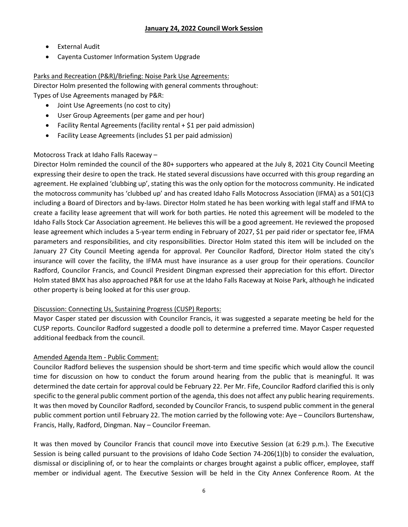- External Audit
- Cayenta Customer Information System Upgrade

## Parks and Recreation (P&R)/Briefing: Noise Park Use Agreements:

Director Holm presented the following with general comments throughout:

Types of Use Agreements managed by P&R:

- Joint Use Agreements (no cost to city)
- User Group Agreements (per game and per hour)
- Facility Rental Agreements (facility rental + \$1 per paid admission)
- Facility Lease Agreements (includes \$1 per paid admission)

# Motocross Track at Idaho Falls Raceway –

Director Holm reminded the council of the 80+ supporters who appeared at the July 8, 2021 City Council Meeting expressing their desire to open the track. He stated several discussions have occurred with this group regarding an agreement. He explained 'clubbing up', stating this was the only option for the motocross community. He indicated the motocross community has 'clubbed up' and has created Idaho Falls Motocross Association (IFMA) as a 501(C)3 including a Board of Directors and by-laws. Director Holm stated he has been working with legal staff and IFMA to create a facility lease agreement that will work for both parties. He noted this agreement will be modeled to the Idaho Falls Stock Car Association agreement. He believes this will be a good agreement. He reviewed the proposed lease agreement which includes a 5-year term ending in February of 2027, \$1 per paid rider or spectator fee, IFMA parameters and responsibilities, and city responsibilities. Director Holm stated this item will be included on the January 27 City Council Meeting agenda for approval. Per Councilor Radford, Director Holm stated the city's insurance will cover the facility, the IFMA must have insurance as a user group for their operations. Councilor Radford, Councilor Francis, and Council President Dingman expressed their appreciation for this effort. Director Holm stated BMX has also approached P&R for use at the Idaho Falls Raceway at Noise Park, although he indicated other property is being looked at for this user group.

# Discussion: Connecting Us, Sustaining Progress (CUSP) Reports:

Mayor Casper stated per discussion with Councilor Francis, it was suggested a separate meeting be held for the CUSP reports. Councilor Radford suggested a doodle poll to determine a preferred time. Mayor Casper requested additional feedback from the council.

# Amended Agenda Item - Public Comment:

Councilor Radford believes the suspension should be short-term and time specific which would allow the council time for discussion on how to conduct the forum around hearing from the public that is meaningful. It was determined the date certain for approval could be February 22. Per Mr. Fife, Councilor Radford clarified this is only specific to the general public comment portion of the agenda, this does not affect any public hearing requirements. It was then moved by Councilor Radford, seconded by Councilor Francis, to suspend public comment in the general public comment portion until February 22. The motion carried by the following vote: Aye – Councilors Burtenshaw, Francis, Hally, Radford, Dingman. Nay – Councilor Freeman.

It was then moved by Councilor Francis that council move into Executive Session (at 6:29 p.m.). The Executive Session is being called pursuant to the provisions of Idaho Code Section 74-206(1)(b) to consider the evaluation, dismissal or disciplining of, or to hear the complaints or charges brought against a public officer, employee, staff member or individual agent. The Executive Session will be held in the City Annex Conference Room. At the